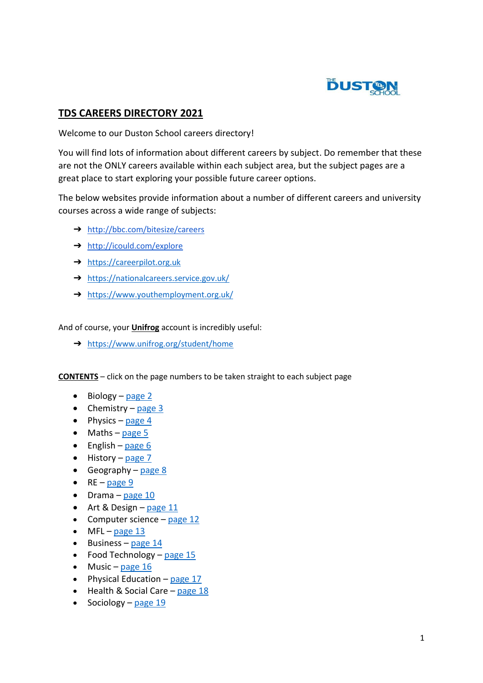

#### **TDS CAREERS DIRECTORY 2021**

Welcome to our Duston School careers directory!

You will find lots of information about different careers by subject. Do remember that these are not the ONLY careers available within each subject area, but the subject pages are a great place to start exploring your possible future career options.

The below websites provide information about a number of different careers and university courses across a wide range of subjects:

- ➔ <http://bbc.com/bitesize/careers>
- ➔ <http://icould.com/explore>
- ➔ [https://careerpilot.org.uk](https://careerpilot.org.uk/)
- → <https://nationalcareers.service.gov.uk/>
- → <https://www.youthemployment.org.uk/>

And of course, your **Unifrog** account is incredibly useful:

➔ <https://www.unifrog.org/student/home>

**CONTENTS** – click on the page numbers to be taken straight to each subject page

- $\bullet$  Biology [page](#page-1-0) 2
- Chemistry [page](#page-2-0)  $3$
- Physics [page](#page-3-0) 4
- $\bullet$  Maths [page](#page-4-0) 5
- $\bullet$  English [page](#page-5-0) 6
- $\bullet$  History [page](#page-6-0) 7
- Geography [page](#page-7-0)  $8$
- $\bullet$  RE [page](#page-8-0) 9
- $\bullet$  Drama [page](#page-9-0) 10
- $\bullet$  Art & Design [page](#page-9-0) 11
- Computer science [page](#page-11-0)  $12$
- $\bullet$  MFL [page](#page-12-0) 13
- $\bullet$  Business [page](#page-13-0) 14
- Food Technology [page](#page-14-0)  $15$
- $\bullet$  Music [page](#page-15-0) 16
- Physical Education [page](#page-16-0) 17
- $\bullet$  Health & Social Care [page](#page-17-0) 18
- Sociology [page](#page-18-0)  $19$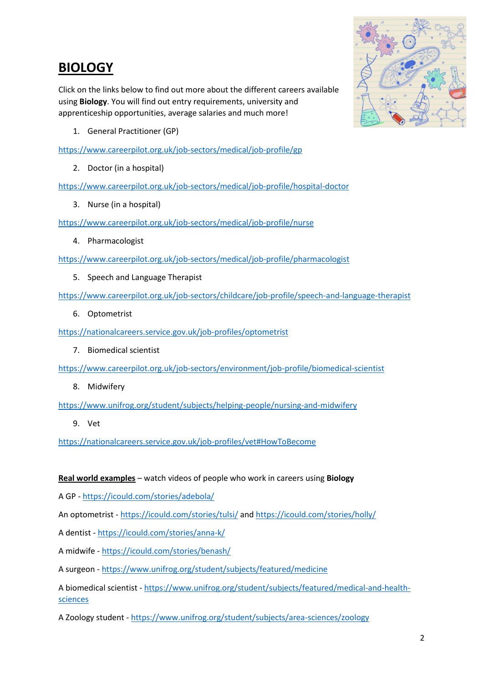## <span id="page-1-0"></span>**BIOLOGY**

Click on the links below to find out more about the different careers available using **Biology**. You will find out entry requirements, university and apprenticeship opportunities, average salaries and much more!

1. General Practitioner (GP)

<https://www.careerpilot.org.uk/job-sectors/medical/job-profile/gp>

2. Doctor (in a hospital)

<https://www.careerpilot.org.uk/job-sectors/medical/job-profile/hospital-doctor>

3. Nurse (in a hospital)

<https://www.careerpilot.org.uk/job-sectors/medical/job-profile/nurse>

4. Pharmacologist

<https://www.careerpilot.org.uk/job-sectors/medical/job-profile/pharmacologist>

5. Speech and Language Therapist

<https://www.careerpilot.org.uk/job-sectors/childcare/job-profile/speech-and-language-therapist>

6. Optometrist

<https://nationalcareers.service.gov.uk/job-profiles/optometrist>

7. Biomedical scientist

<https://www.careerpilot.org.uk/job-sectors/environment/job-profile/biomedical-scientist>

8. Midwifery

<https://www.unifrog.org/student/subjects/helping-people/nursing-and-midwifery>

9. Vet

<https://nationalcareers.service.gov.uk/job-profiles/vet#HowToBecome>

#### **Real world examples** – watch videos of people who work in careers using **Biology**

A GP - <https://icould.com/stories/adebola/>

An optometrist - <https://icould.com/stories/tulsi/> an[d https://icould.com/stories/holly/](https://icould.com/stories/holly/)

A dentist - <https://icould.com/stories/anna-k/>

A midwife - <https://icould.com/stories/benash/>

A surgeon - <https://www.unifrog.org/student/subjects/featured/medicine>

A biomedical scientist - [https://www.unifrog.org/student/subjects/featured/medical-and-health](https://www.unifrog.org/student/subjects/featured/medical-and-health-sciences)[sciences](https://www.unifrog.org/student/subjects/featured/medical-and-health-sciences)

A Zoology student - <https://www.unifrog.org/student/subjects/area-sciences/zoology>

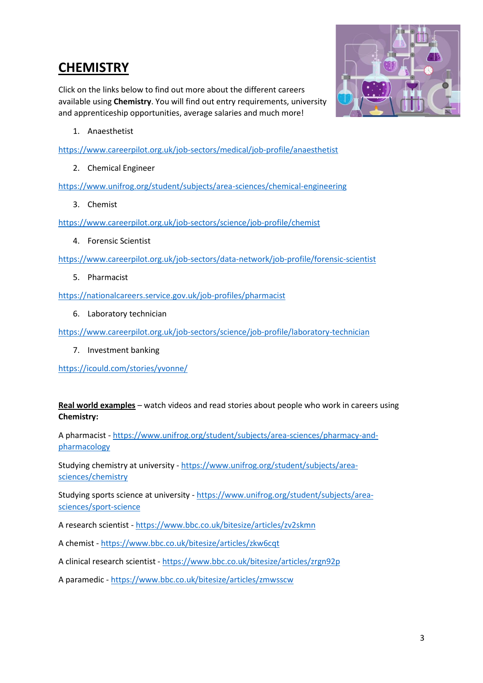### <span id="page-2-0"></span>**CHEMISTRY**

Click on the links below to find out more about the different careers available using **Chemistry**. You will find out entry requirements, university and apprenticeship opportunities, average salaries and much more!



1. Anaesthetist

<https://www.careerpilot.org.uk/job-sectors/medical/job-profile/anaesthetist>

2. Chemical Engineer

<https://www.unifrog.org/student/subjects/area-sciences/chemical-engineering>

3. Chemist

<https://www.careerpilot.org.uk/job-sectors/science/job-profile/chemist>

4. Forensic Scientist

<https://www.careerpilot.org.uk/job-sectors/data-network/job-profile/forensic-scientist>

5. Pharmacist

<https://nationalcareers.service.gov.uk/job-profiles/pharmacist>

6. Laboratory technician

<https://www.careerpilot.org.uk/job-sectors/science/job-profile/laboratory-technician>

7. Investment banking

<https://icould.com/stories/yvonne/>

#### **Real world examples** – watch videos and read stories about people who work in careers using **Chemistry:**

A pharmacist - [https://www.unifrog.org/student/subjects/area-sciences/pharmacy-and](https://www.unifrog.org/student/subjects/area-sciences/pharmacy-and-pharmacology)[pharmacology](https://www.unifrog.org/student/subjects/area-sciences/pharmacy-and-pharmacology)

Studying chemistry at university - [https://www.unifrog.org/student/subjects/area](https://www.unifrog.org/student/subjects/area-sciences/chemistry)[sciences/chemistry](https://www.unifrog.org/student/subjects/area-sciences/chemistry)

Studying sports science at university - [https://www.unifrog.org/student/subjects/area](https://www.unifrog.org/student/subjects/area-sciences/sport-science)[sciences/sport-science](https://www.unifrog.org/student/subjects/area-sciences/sport-science)

A research scientist - <https://www.bbc.co.uk/bitesize/articles/zv2skmn>

A chemist - <https://www.bbc.co.uk/bitesize/articles/zkw6cqt>

A clinical research scientist - <https://www.bbc.co.uk/bitesize/articles/zrgn92p>

A paramedic - <https://www.bbc.co.uk/bitesize/articles/zmwsscw>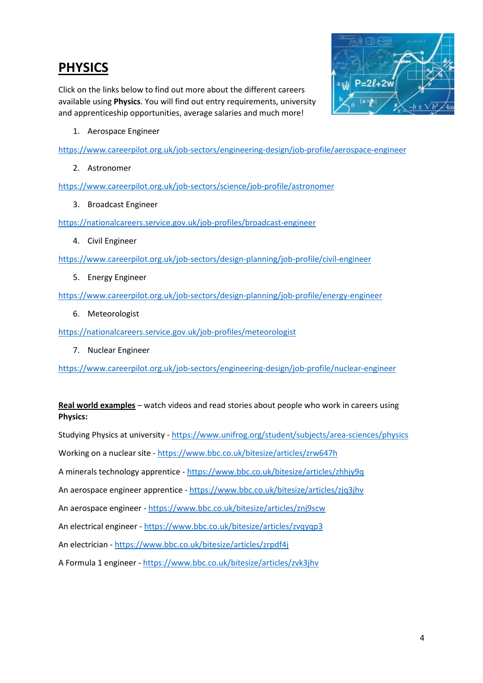### <span id="page-3-0"></span>**PHYSICS**

Click on the links below to find out more about the different careers available using **Physics**. You will find out entry requirements, university and apprenticeship opportunities, average salaries and much more!



1. Aerospace Engineer

<https://www.careerpilot.org.uk/job-sectors/engineering-design/job-profile/aerospace-engineer>

2. Astronomer

<https://www.careerpilot.org.uk/job-sectors/science/job-profile/astronomer>

3. Broadcast Engineer

<https://nationalcareers.service.gov.uk/job-profiles/broadcast-engineer>

4. Civil Engineer

<https://www.careerpilot.org.uk/job-sectors/design-planning/job-profile/civil-engineer>

5. Energy Engineer

<https://www.careerpilot.org.uk/job-sectors/design-planning/job-profile/energy-engineer>

6. Meteorologist

<https://nationalcareers.service.gov.uk/job-profiles/meteorologist>

7. Nuclear Engineer

<https://www.careerpilot.org.uk/job-sectors/engineering-design/job-profile/nuclear-engineer>

#### **Real world examples** – watch videos and read stories about people who work in careers using **Physics:**

Studying Physics at university - <https://www.unifrog.org/student/subjects/area-sciences/physics>

Working on a nuclear site - <https://www.bbc.co.uk/bitesize/articles/zrw647h>

A minerals technology apprentice - <https://www.bbc.co.uk/bitesize/articles/zhhjy9q>

An aerospace engineer apprentice - <https://www.bbc.co.uk/bitesize/articles/zjq3jhv>

An aerospace engineer - <https://www.bbc.co.uk/bitesize/articles/znj9scw>

An electrical engineer - <https://www.bbc.co.uk/bitesize/articles/zvqyqp3>

An electrician - <https://www.bbc.co.uk/bitesize/articles/zrpdf4j>

A Formula 1 engineer - <https://www.bbc.co.uk/bitesize/articles/zvk3jhv>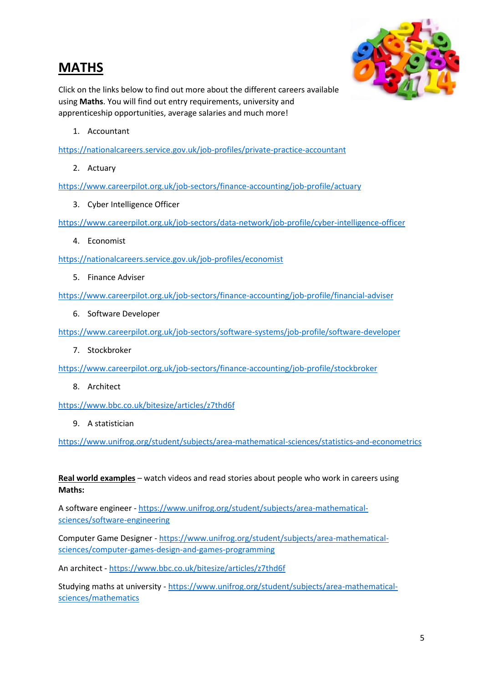### <span id="page-4-0"></span>**MATHS**



Click on the links below to find out more about the different careers available using **Maths**. You will find out entry requirements, university and apprenticeship opportunities, average salaries and much more!

1. Accountant

<https://nationalcareers.service.gov.uk/job-profiles/private-practice-accountant>

2. Actuary

<https://www.careerpilot.org.uk/job-sectors/finance-accounting/job-profile/actuary>

3. Cyber Intelligence Officer

<https://www.careerpilot.org.uk/job-sectors/data-network/job-profile/cyber-intelligence-officer>

4. Economist

<https://nationalcareers.service.gov.uk/job-profiles/economist>

5. Finance Adviser

<https://www.careerpilot.org.uk/job-sectors/finance-accounting/job-profile/financial-adviser>

6. Software Developer

<https://www.careerpilot.org.uk/job-sectors/software-systems/job-profile/software-developer>

7. Stockbroker

<https://www.careerpilot.org.uk/job-sectors/finance-accounting/job-profile/stockbroker>

8. Architect

<https://www.bbc.co.uk/bitesize/articles/z7thd6f>

9. A statistician

<https://www.unifrog.org/student/subjects/area-mathematical-sciences/statistics-and-econometrics>

**Real world examples** – watch videos and read stories about people who work in careers using **Maths:**

A software engineer - [https://www.unifrog.org/student/subjects/area-mathematical](https://www.unifrog.org/student/subjects/area-mathematical-sciences/software-engineering)[sciences/software-engineering](https://www.unifrog.org/student/subjects/area-mathematical-sciences/software-engineering)

Computer Game Designer - [https://www.unifrog.org/student/subjects/area-mathematical](https://www.unifrog.org/student/subjects/area-mathematical-sciences/computer-games-design-and-games-programming)[sciences/computer-games-design-and-games-programming](https://www.unifrog.org/student/subjects/area-mathematical-sciences/computer-games-design-and-games-programming)

An architect - <https://www.bbc.co.uk/bitesize/articles/z7thd6f>

Studying maths at university - [https://www.unifrog.org/student/subjects/area-mathematical](https://www.unifrog.org/student/subjects/area-mathematical-sciences/mathematics)[sciences/mathematics](https://www.unifrog.org/student/subjects/area-mathematical-sciences/mathematics)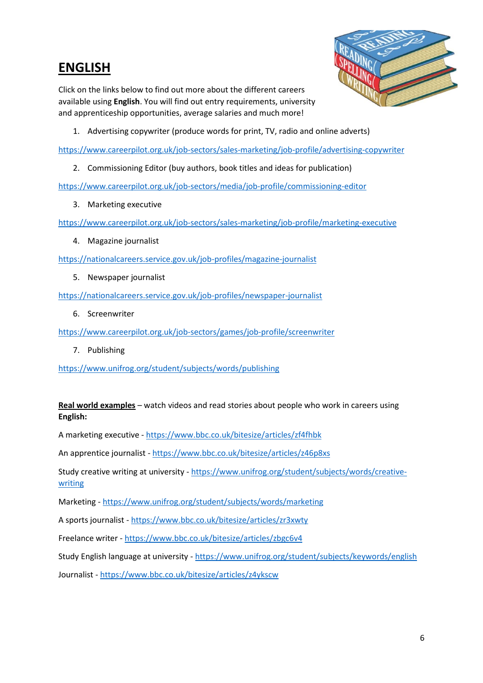#### <span id="page-5-0"></span>**ENGLISH**

Click on the links below to find out more about the different careers available using **English**. You will find out entry requirements, university and apprenticeship opportunities, average salaries and much more!



1. Advertising copywriter (produce words for print, TV, radio and online adverts)

<https://www.careerpilot.org.uk/job-sectors/sales-marketing/job-profile/advertising-copywriter>

2. Commissioning Editor (buy authors, book titles and ideas for publication)

<https://www.careerpilot.org.uk/job-sectors/media/job-profile/commissioning-editor>

3. Marketing executive

<https://www.careerpilot.org.uk/job-sectors/sales-marketing/job-profile/marketing-executive>

4. Magazine journalist

<https://nationalcareers.service.gov.uk/job-profiles/magazine-journalist>

5. Newspaper journalist

<https://nationalcareers.service.gov.uk/job-profiles/newspaper-journalist>

6. Screenwriter

<https://www.careerpilot.org.uk/job-sectors/games/job-profile/screenwriter>

7. Publishing

<https://www.unifrog.org/student/subjects/words/publishing>

#### **Real world examples** – watch videos and read stories about people who work in careers using **English:**

A marketing executive - <https://www.bbc.co.uk/bitesize/articles/zf4fhbk>

An apprentice journalist - <https://www.bbc.co.uk/bitesize/articles/z46p8xs>

Study creative writing at university - [https://www.unifrog.org/student/subjects/words/creative](https://www.unifrog.org/student/subjects/words/creative-writing)[writing](https://www.unifrog.org/student/subjects/words/creative-writing)

Marketing - <https://www.unifrog.org/student/subjects/words/marketing>

A sports journalist - <https://www.bbc.co.uk/bitesize/articles/zr3xwty>

Freelance writer - <https://www.bbc.co.uk/bitesize/articles/zbgc6v4>

Study English language at university - <https://www.unifrog.org/student/subjects/keywords/english>

Journalist - <https://www.bbc.co.uk/bitesize/articles/z4ykscw>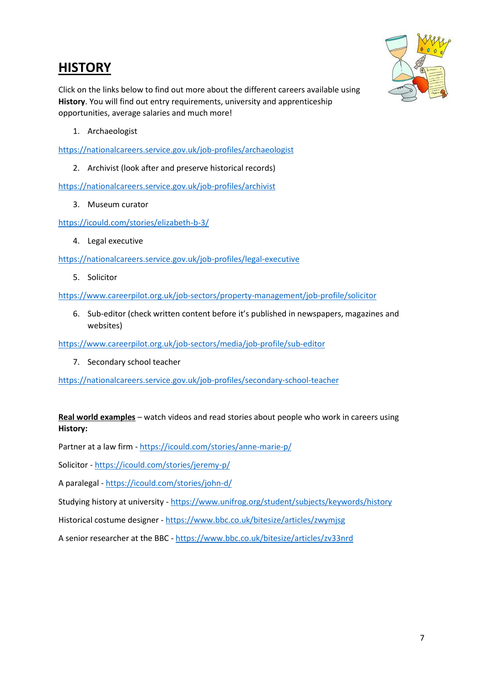## <span id="page-6-0"></span>**HISTORY**



Click on the links below to find out more about the different careers available using **History**. You will find out entry requirements, university and apprenticeship opportunities, average salaries and much more!

1. Archaeologist

<https://nationalcareers.service.gov.uk/job-profiles/archaeologist>

2. Archivist (look after and preserve historical records)

<https://nationalcareers.service.gov.uk/job-profiles/archivist>

3. Museum curator

<https://icould.com/stories/elizabeth-b-3/>

4. Legal executive

<https://nationalcareers.service.gov.uk/job-profiles/legal-executive>

5. Solicitor

<https://www.careerpilot.org.uk/job-sectors/property-management/job-profile/solicitor>

6. Sub-editor (check written content before it's published in newspapers, magazines and websites)

<https://www.careerpilot.org.uk/job-sectors/media/job-profile/sub-editor>

7. Secondary school teacher

<https://nationalcareers.service.gov.uk/job-profiles/secondary-school-teacher>

#### **Real world examples** – watch videos and read stories about people who work in careers using **History:**

Partner at a law firm - <https://icould.com/stories/anne-marie-p/>

Solicitor - <https://icould.com/stories/jeremy-p/>

A paralegal - <https://icould.com/stories/john-d/>

Studying history at university - <https://www.unifrog.org/student/subjects/keywords/history>

Historical costume designer - <https://www.bbc.co.uk/bitesize/articles/zwymjsg>

A senior researcher at the BBC - <https://www.bbc.co.uk/bitesize/articles/zv33nrd>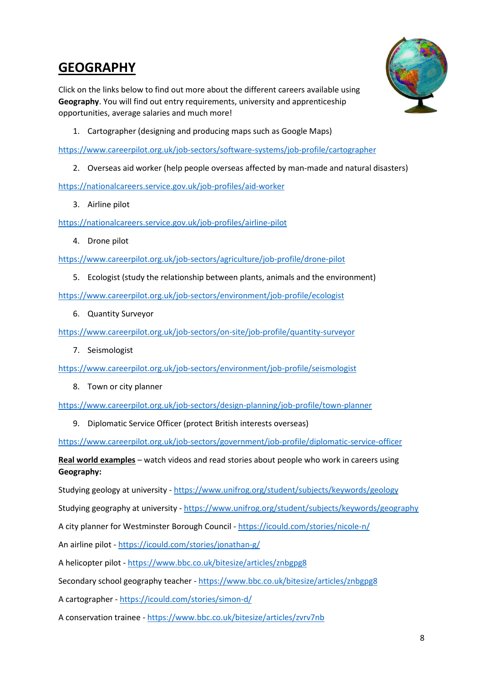## <span id="page-7-0"></span>**GEOGRAPHY**

Click on the links below to find out more about the different careers available using **Geography**. You will find out entry requirements, university and apprenticeship opportunities, average salaries and much more!



1. Cartographer (designing and producing maps such as Google Maps)

<https://www.careerpilot.org.uk/job-sectors/software-systems/job-profile/cartographer>

2. Overseas aid worker (help people overseas affected by man-made and natural disasters)

<https://nationalcareers.service.gov.uk/job-profiles/aid-worker>

3. Airline pilot

<https://nationalcareers.service.gov.uk/job-profiles/airline-pilot>

4. Drone pilot

<https://www.careerpilot.org.uk/job-sectors/agriculture/job-profile/drone-pilot>

5. Ecologist (study the relationship between plants, animals and the environment)

<https://www.careerpilot.org.uk/job-sectors/environment/job-profile/ecologist>

6. Quantity Surveyor

<https://www.careerpilot.org.uk/job-sectors/on-site/job-profile/quantity-surveyor>

7. Seismologist

<https://www.careerpilot.org.uk/job-sectors/environment/job-profile/seismologist>

8. Town or city planner

<https://www.careerpilot.org.uk/job-sectors/design-planning/job-profile/town-planner>

9. Diplomatic Service Officer (protect British interests overseas)

<https://www.careerpilot.org.uk/job-sectors/government/job-profile/diplomatic-service-officer>

**Real world examples** – watch videos and read stories about people who work in careers using **Geography:**

Studying geology at university - <https://www.unifrog.org/student/subjects/keywords/geology>

Studying geography at university - <https://www.unifrog.org/student/subjects/keywords/geography>

A city planner for Westminster Borough Council - <https://icould.com/stories/nicole-n/>

An airline pilot - <https://icould.com/stories/jonathan-g/>

A helicopter pilot - <https://www.bbc.co.uk/bitesize/articles/znbgpg8>

Secondary school geography teacher - <https://www.bbc.co.uk/bitesize/articles/znbgpg8>

A cartographer - <https://icould.com/stories/simon-d/>

A conservation trainee - <https://www.bbc.co.uk/bitesize/articles/zvrv7nb>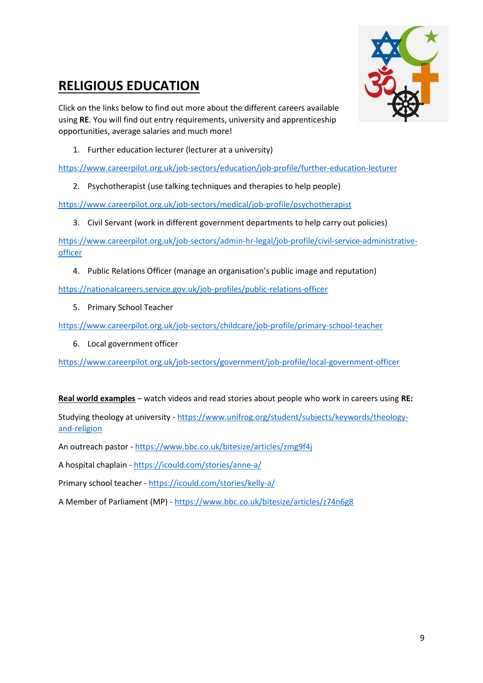## <span id="page-8-0"></span>**RELIGIOUS EDUCATION**



Click on the links below to find out more about the different careers available using **RE**. You will find out entry requirements, university and apprenticeship opportunities, average salaries and much more!

1. Further education lecturer (lecturer at a university)

<https://www.careerpilot.org.uk/job-sectors/education/job-profile/further-education-lecturer>

2. Psychotherapist (use talking techniques and therapies to help people)

<https://www.careerpilot.org.uk/job-sectors/medical/job-profile/psychotherapist>

3. Civil Servant (work in different government departments to help carry out policies)

[https://www.careerpilot.org.uk/job-sectors/admin-hr-legal/job-profile/civil-service-administrative](https://www.careerpilot.org.uk/job-sectors/admin-hr-legal/job-profile/civil-service-administrative-officer)[officer](https://www.careerpilot.org.uk/job-sectors/admin-hr-legal/job-profile/civil-service-administrative-officer)

4. Public Relations Officer (manage an organisation's public image and reputation)

<https://nationalcareers.service.gov.uk/job-profiles/public-relations-officer>

5. Primary School Teacher

<https://www.careerpilot.org.uk/job-sectors/childcare/job-profile/primary-school-teacher>

6. Local government officer

<https://www.careerpilot.org.uk/job-sectors/government/job-profile/local-government-officer>

**Real world examples** – watch videos and read stories about people who work in careers using **RE:**

Studying theology at university - [https://www.unifrog.org/student/subjects/keywords/theology](https://www.unifrog.org/student/subjects/keywords/theology-and-religion)[and-religion](https://www.unifrog.org/student/subjects/keywords/theology-and-religion)

An outreach pastor - <https://www.bbc.co.uk/bitesize/articles/zmg9f4j>

A hospital chaplain - <https://icould.com/stories/anne-a/>

Primary school teacher - <https://icould.com/stories/kelly-a/>

A Member of Parliament (MP) - <https://www.bbc.co.uk/bitesize/articles/z74n6g8>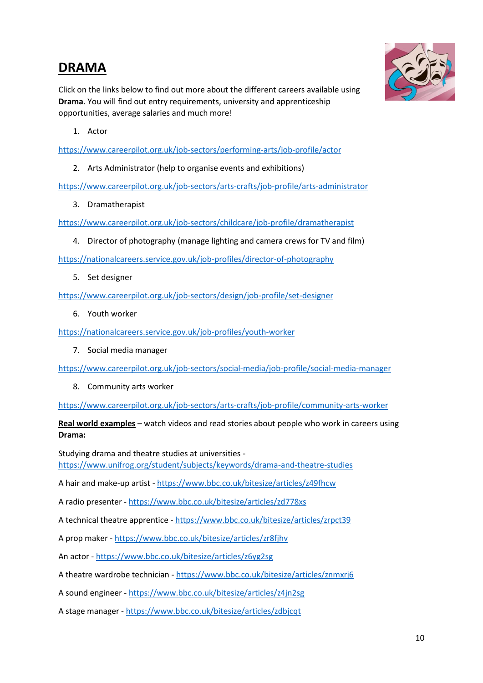#### <span id="page-9-0"></span>**DRAMA**



Click on the links below to find out more about the different careers available using **Drama**. You will find out entry requirements, university and apprenticeship opportunities, average salaries and much more!

1. Actor

<https://www.careerpilot.org.uk/job-sectors/performing-arts/job-profile/actor>

2. Arts Administrator (help to organise events and exhibitions)

<https://www.careerpilot.org.uk/job-sectors/arts-crafts/job-profile/arts-administrator>

3. Dramatherapist

<https://www.careerpilot.org.uk/job-sectors/childcare/job-profile/dramatherapist>

4. Director of photography (manage lighting and camera crews for TV and film)

<https://nationalcareers.service.gov.uk/job-profiles/director-of-photography>

5. Set designer

<https://www.careerpilot.org.uk/job-sectors/design/job-profile/set-designer>

6. Youth worker

<https://nationalcareers.service.gov.uk/job-profiles/youth-worker>

7. Social media manager

<https://www.careerpilot.org.uk/job-sectors/social-media/job-profile/social-media-manager>

8. Community arts worker

<https://www.careerpilot.org.uk/job-sectors/arts-crafts/job-profile/community-arts-worker>

**Real world examples** – watch videos and read stories about people who work in careers using **Drama:**

Studying drama and theatre studies at universities <https://www.unifrog.org/student/subjects/keywords/drama-and-theatre-studies>

A hair and make-up artist - <https://www.bbc.co.uk/bitesize/articles/z49fhcw>

A radio presenter - <https://www.bbc.co.uk/bitesize/articles/zd778xs>

A technical theatre apprentice - <https://www.bbc.co.uk/bitesize/articles/zrpct39>

A prop maker - <https://www.bbc.co.uk/bitesize/articles/zr8fjhv>

An actor - <https://www.bbc.co.uk/bitesize/articles/z6yg2sg>

A theatre wardrobe technician - <https://www.bbc.co.uk/bitesize/articles/znmxrj6>

A sound engineer - <https://www.bbc.co.uk/bitesize/articles/z4jn2sg>

A stage manager - <https://www.bbc.co.uk/bitesize/articles/zdbjcqt>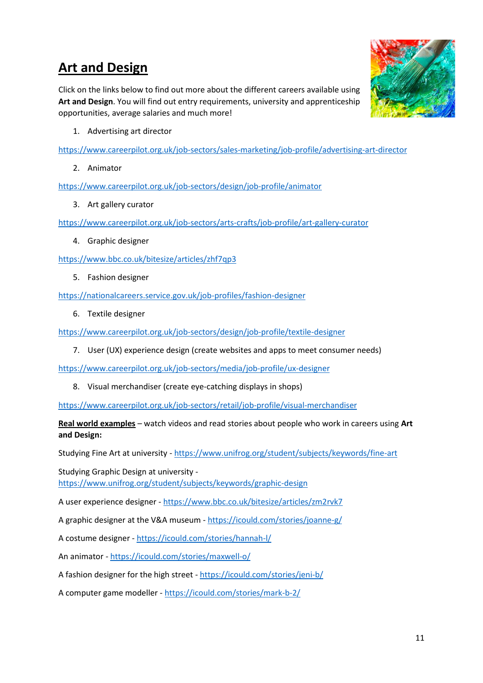## **Art and Design**

Click on the links below to find out more about the different careers available using **Art and Design**. You will find out entry requirements, university and apprenticeship opportunities, average salaries and much more!



1. Advertising art director

<https://www.careerpilot.org.uk/job-sectors/sales-marketing/job-profile/advertising-art-director>

2. Animator

<https://www.careerpilot.org.uk/job-sectors/design/job-profile/animator>

3. Art gallery curator

<https://www.careerpilot.org.uk/job-sectors/arts-crafts/job-profile/art-gallery-curator>

4. Graphic designer

<https://www.bbc.co.uk/bitesize/articles/zhf7qp3>

5. Fashion designer

<https://nationalcareers.service.gov.uk/job-profiles/fashion-designer>

6. Textile designer

<https://www.careerpilot.org.uk/job-sectors/design/job-profile/textile-designer>

7. User (UX) experience design (create websites and apps to meet consumer needs)

<https://www.careerpilot.org.uk/job-sectors/media/job-profile/ux-designer>

8. Visual merchandiser (create eye-catching displays in shops)

<https://www.careerpilot.org.uk/job-sectors/retail/job-profile/visual-merchandiser>

**Real world examples** – watch videos and read stories about people who work in careers using **Art and Design:**

Studying Fine Art at university - <https://www.unifrog.org/student/subjects/keywords/fine-art>

Studying Graphic Design at university <https://www.unifrog.org/student/subjects/keywords/graphic-design>

A user experience designer - <https://www.bbc.co.uk/bitesize/articles/zm2rvk7>

A graphic designer at the V&A museum - <https://icould.com/stories/joanne-g/>

A costume designer - <https://icould.com/stories/hannah-l/>

An animator - <https://icould.com/stories/maxwell-o/>

A fashion designer for the high street - <https://icould.com/stories/jeni-b/>

A computer game modeller - <https://icould.com/stories/mark-b-2/>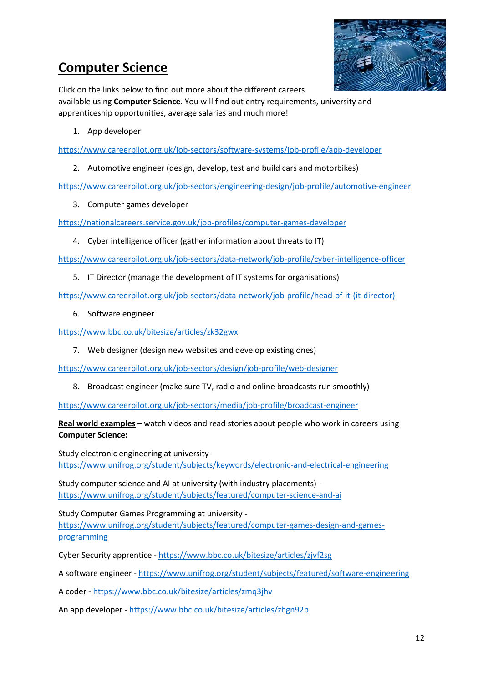## <span id="page-11-0"></span>**Computer Science**

Click on the links below to find out more about the different careers

available using **Computer Science**. You will find out entry requirements, university and apprenticeship opportunities, average salaries and much more!

1. App developer

<https://www.careerpilot.org.uk/job-sectors/software-systems/job-profile/app-developer>

2. Automotive engineer (design, develop, test and build cars and motorbikes)

<https://www.careerpilot.org.uk/job-sectors/engineering-design/job-profile/automotive-engineer>

3. Computer games developer

<https://nationalcareers.service.gov.uk/job-profiles/computer-games-developer>

4. Cyber intelligence officer (gather information about threats to IT)

<https://www.careerpilot.org.uk/job-sectors/data-network/job-profile/cyber-intelligence-officer>

5. IT Director (manage the development of IT systems for organisations)

[https://www.careerpilot.org.uk/job-sectors/data-network/job-profile/head-of-it-\(it-director\)](https://www.careerpilot.org.uk/job-sectors/data-network/job-profile/head-of-it-(it-director))

6. Software engineer

<https://www.bbc.co.uk/bitesize/articles/zk32gwx>

7. Web designer (design new websites and develop existing ones)

<https://www.careerpilot.org.uk/job-sectors/design/job-profile/web-designer>

8. Broadcast engineer (make sure TV, radio and online broadcasts run smoothly)

<https://www.careerpilot.org.uk/job-sectors/media/job-profile/broadcast-engineer>

**Real world examples** – watch videos and read stories about people who work in careers using **Computer Science:**

Study electronic engineering at university <https://www.unifrog.org/student/subjects/keywords/electronic-and-electrical-engineering>

Study computer science and AI at university (with industry placements) <https://www.unifrog.org/student/subjects/featured/computer-science-and-ai>

Study Computer Games Programming at university [https://www.unifrog.org/student/subjects/featured/computer-games-design-and-games](https://www.unifrog.org/student/subjects/featured/computer-games-design-and-games-programming)[programming](https://www.unifrog.org/student/subjects/featured/computer-games-design-and-games-programming)

Cyber Security apprentice - <https://www.bbc.co.uk/bitesize/articles/zjvf2sg>

A software engineer - <https://www.unifrog.org/student/subjects/featured/software-engineering>

A coder - <https://www.bbc.co.uk/bitesize/articles/zmq3jhv>

An app developer - <https://www.bbc.co.uk/bitesize/articles/zhgn92p>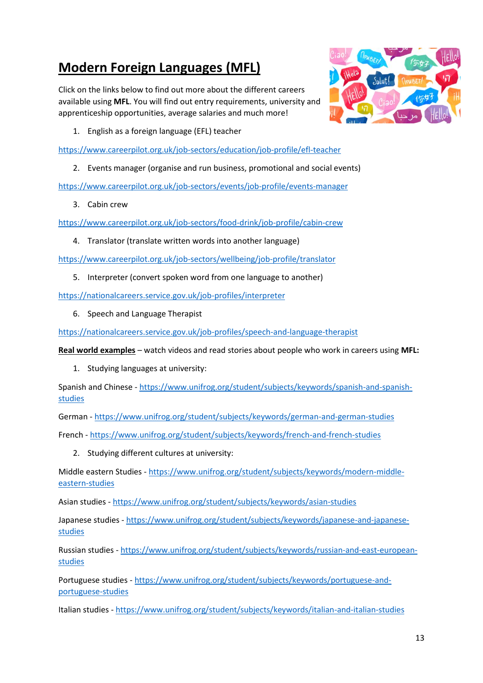# **Modern Foreign Languages (MFL)**

Click on the links below to find out more about the different careers available using **MFL**. You will find out entry requirements, university and apprenticeship opportunities, average salaries and much more!

<span id="page-12-0"></span>

1. English as a foreign language (EFL) teacher

<https://www.careerpilot.org.uk/job-sectors/education/job-profile/efl-teacher>

2. Events manager (organise and run business, promotional and social events)

<https://www.careerpilot.org.uk/job-sectors/events/job-profile/events-manager>

3. Cabin crew

<https://www.careerpilot.org.uk/job-sectors/food-drink/job-profile/cabin-crew>

4. Translator (translate written words into another language)

<https://www.careerpilot.org.uk/job-sectors/wellbeing/job-profile/translator>

5. Interpreter (convert spoken word from one language to another)

<https://nationalcareers.service.gov.uk/job-profiles/interpreter>

6. Speech and Language Therapist

<https://nationalcareers.service.gov.uk/job-profiles/speech-and-language-therapist>

**Real world examples** – watch videos and read stories about people who work in careers using **MFL:**

1. Studying languages at university:

Spanish and Chinese - [https://www.unifrog.org/student/subjects/keywords/spanish-and-spanish](https://www.unifrog.org/student/subjects/keywords/spanish-and-spanish-studies)[studies](https://www.unifrog.org/student/subjects/keywords/spanish-and-spanish-studies)

German - <https://www.unifrog.org/student/subjects/keywords/german-and-german-studies>

French - <https://www.unifrog.org/student/subjects/keywords/french-and-french-studies>

2. Studying different cultures at university:

Middle eastern Studies - [https://www.unifrog.org/student/subjects/keywords/modern-middle](https://www.unifrog.org/student/subjects/keywords/modern-middle-eastern-studies)[eastern-studies](https://www.unifrog.org/student/subjects/keywords/modern-middle-eastern-studies)

Asian studies - <https://www.unifrog.org/student/subjects/keywords/asian-studies>

Japanese studies - [https://www.unifrog.org/student/subjects/keywords/japanese-and-japanese](https://www.unifrog.org/student/subjects/keywords/japanese-and-japanese-studies)[studies](https://www.unifrog.org/student/subjects/keywords/japanese-and-japanese-studies)

Russian studies - [https://www.unifrog.org/student/subjects/keywords/russian-and-east-european](https://www.unifrog.org/student/subjects/keywords/russian-and-east-european-studies)[studies](https://www.unifrog.org/student/subjects/keywords/russian-and-east-european-studies)

Portuguese studies - [https://www.unifrog.org/student/subjects/keywords/portuguese-and](https://www.unifrog.org/student/subjects/keywords/portuguese-and-portuguese-studies)[portuguese-studies](https://www.unifrog.org/student/subjects/keywords/portuguese-and-portuguese-studies)

Italian studies - <https://www.unifrog.org/student/subjects/keywords/italian-and-italian-studies>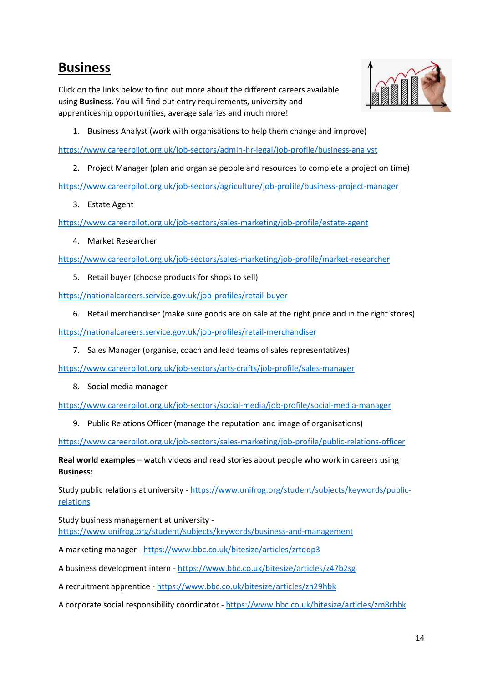#### <span id="page-13-0"></span>**Business**

Click on the links below to find out more about the different careers available using **Business**. You will find out entry requirements, university and apprenticeship opportunities, average salaries and much more!



1. Business Analyst (work with organisations to help them change and improve)

<https://www.careerpilot.org.uk/job-sectors/admin-hr-legal/job-profile/business-analyst>

2. Project Manager (plan and organise people and resources to complete a project on time)

<https://www.careerpilot.org.uk/job-sectors/agriculture/job-profile/business-project-manager>

3. Estate Agent

<https://www.careerpilot.org.uk/job-sectors/sales-marketing/job-profile/estate-agent>

4. Market Researcher

<https://www.careerpilot.org.uk/job-sectors/sales-marketing/job-profile/market-researcher>

5. Retail buyer (choose products for shops to sell)

<https://nationalcareers.service.gov.uk/job-profiles/retail-buyer>

6. Retail merchandiser (make sure goods are on sale at the right price and in the right stores)

<https://nationalcareers.service.gov.uk/job-profiles/retail-merchandiser>

7. Sales Manager (organise, coach and lead teams of sales representatives)

<https://www.careerpilot.org.uk/job-sectors/arts-crafts/job-profile/sales-manager>

8. Social media manager

<https://www.careerpilot.org.uk/job-sectors/social-media/job-profile/social-media-manager>

9. Public Relations Officer (manage the reputation and image of organisations)

<https://www.careerpilot.org.uk/job-sectors/sales-marketing/job-profile/public-relations-officer>

**Real world examples** – watch videos and read stories about people who work in careers using **Business:**

Study public relations at university - [https://www.unifrog.org/student/subjects/keywords/public](https://www.unifrog.org/student/subjects/keywords/public-relations)[relations](https://www.unifrog.org/student/subjects/keywords/public-relations)

Study business management at university <https://www.unifrog.org/student/subjects/keywords/business-and-management>

A marketing manager - <https://www.bbc.co.uk/bitesize/articles/zrtqqp3>

A business development intern - <https://www.bbc.co.uk/bitesize/articles/z47b2sg>

A recruitment apprentice - <https://www.bbc.co.uk/bitesize/articles/zh29hbk>

A corporate social responsibility coordinator - <https://www.bbc.co.uk/bitesize/articles/zm8rhbk>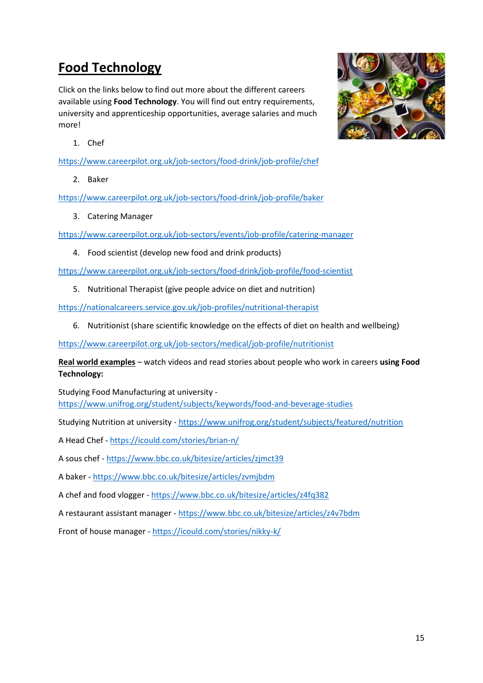# <span id="page-14-0"></span>**Food Technology**

Click on the links below to find out more about the different careers available using **Food Technology**. You will find out entry requirements, university and apprenticeship opportunities, average salaries and much more!



1. Chef

<https://www.careerpilot.org.uk/job-sectors/food-drink/job-profile/chef>

2. Baker

<https://www.careerpilot.org.uk/job-sectors/food-drink/job-profile/baker>

3. Catering Manager

<https://www.careerpilot.org.uk/job-sectors/events/job-profile/catering-manager>

4. Food scientist (develop new food and drink products)

<https://www.careerpilot.org.uk/job-sectors/food-drink/job-profile/food-scientist>

5. Nutritional Therapist (give people advice on diet and nutrition)

<https://nationalcareers.service.gov.uk/job-profiles/nutritional-therapist>

6. Nutritionist (share scientific knowledge on the effects of diet on health and wellbeing)

<https://www.careerpilot.org.uk/job-sectors/medical/job-profile/nutritionist>

**Real world examples** – watch videos and read stories about people who work in careers **using Food Technology:**

Studying Food Manufacturing at university <https://www.unifrog.org/student/subjects/keywords/food-and-beverage-studies>

Studying Nutrition at university - <https://www.unifrog.org/student/subjects/featured/nutrition>

A Head Chef - <https://icould.com/stories/brian-n/>

A sous chef - <https://www.bbc.co.uk/bitesize/articles/zjmct39>

A baker - <https://www.bbc.co.uk/bitesize/articles/zvmjbdm>

A chef and food vlogger - <https://www.bbc.co.uk/bitesize/articles/z4fq382>

A restaurant assistant manager - <https://www.bbc.co.uk/bitesize/articles/z4v7bdm>

Front of house manager - <https://icould.com/stories/nikky-k/>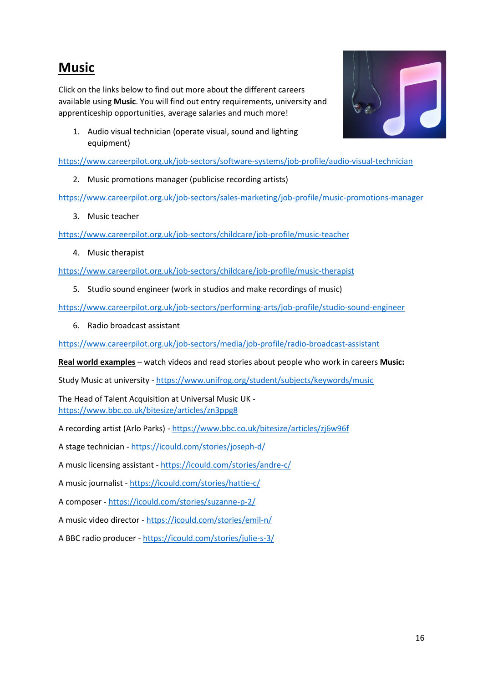#### <span id="page-15-0"></span>**Music**

Click on the links below to find out more about the different careers available using **Music**. You will find out entry requirements, university and apprenticeship opportunities, average salaries and much more!



1. Audio visual technician (operate visual, sound and lighting equipment)

<https://www.careerpilot.org.uk/job-sectors/software-systems/job-profile/audio-visual-technician>

2. Music promotions manager (publicise recording artists)

<https://www.careerpilot.org.uk/job-sectors/sales-marketing/job-profile/music-promotions-manager>

3. Music teacher

<https://www.careerpilot.org.uk/job-sectors/childcare/job-profile/music-teacher>

4. Music therapist

<https://www.careerpilot.org.uk/job-sectors/childcare/job-profile/music-therapist>

5. Studio sound engineer (work in studios and make recordings of music)

<https://www.careerpilot.org.uk/job-sectors/performing-arts/job-profile/studio-sound-engineer>

6. Radio broadcast assistant

<https://www.careerpilot.org.uk/job-sectors/media/job-profile/radio-broadcast-assistant>

**Real world examples** – watch videos and read stories about people who work in careers **Music:**

Study Music at university - <https://www.unifrog.org/student/subjects/keywords/music>

The Head of Talent Acquisition at Universal Music UK <https://www.bbc.co.uk/bitesize/articles/zn3ppg8>

A recording artist (Arlo Parks) - <https://www.bbc.co.uk/bitesize/articles/zj6w96f>

A stage technician - <https://icould.com/stories/joseph-d/>

A music licensing assistant - <https://icould.com/stories/andre-c/>

A music journalist - <https://icould.com/stories/hattie-c/>

A composer - <https://icould.com/stories/suzanne-p-2/>

A music video director - <https://icould.com/stories/emil-n/>

A BBC radio producer - <https://icould.com/stories/julie-s-3/>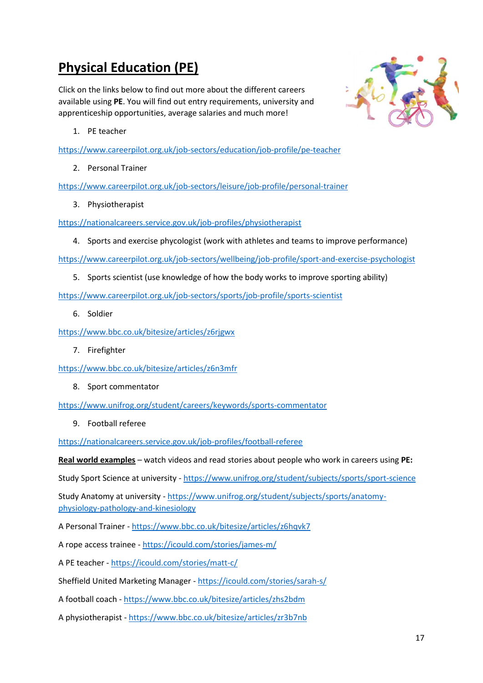# **Physical Education (PE)**

Click on the links below to find out more about the different careers available using **PE**. You will find out entry requirements, university and apprenticeship opportunities, average salaries and much more!

<span id="page-16-0"></span>

1. PE teacher

<https://www.careerpilot.org.uk/job-sectors/education/job-profile/pe-teacher>

2. Personal Trainer

<https://www.careerpilot.org.uk/job-sectors/leisure/job-profile/personal-trainer>

3. Physiotherapist

<https://nationalcareers.service.gov.uk/job-profiles/physiotherapist>

4. Sports and exercise phycologist (work with athletes and teams to improve performance)

<https://www.careerpilot.org.uk/job-sectors/wellbeing/job-profile/sport-and-exercise-psychologist>

5. Sports scientist (use knowledge of how the body works to improve sporting ability)

<https://www.careerpilot.org.uk/job-sectors/sports/job-profile/sports-scientist>

6. Soldier

<https://www.bbc.co.uk/bitesize/articles/z6rjgwx>

7. Firefighter

<https://www.bbc.co.uk/bitesize/articles/z6n3mfr>

8. Sport commentator

<https://www.unifrog.org/student/careers/keywords/sports-commentator>

9. Football referee

<https://nationalcareers.service.gov.uk/job-profiles/football-referee>

**Real world examples** – watch videos and read stories about people who work in careers using **PE:**

Study Sport Science at university - <https://www.unifrog.org/student/subjects/sports/sport-science>

Study Anatomy at university - [https://www.unifrog.org/student/subjects/sports/anatomy](https://www.unifrog.org/student/subjects/sports/anatomy-physiology-pathology-and-kinesiology)[physiology-pathology-and-kinesiology](https://www.unifrog.org/student/subjects/sports/anatomy-physiology-pathology-and-kinesiology)

A Personal Trainer - <https://www.bbc.co.uk/bitesize/articles/z6hqvk7>

A rope access trainee - <https://icould.com/stories/james-m/>

A PE teacher - <https://icould.com/stories/matt-c/>

Sheffield United Marketing Manager - <https://icould.com/stories/sarah-s/>

A football coach - <https://www.bbc.co.uk/bitesize/articles/zhs2bdm>

A physiotherapist - <https://www.bbc.co.uk/bitesize/articles/zr3b7nb>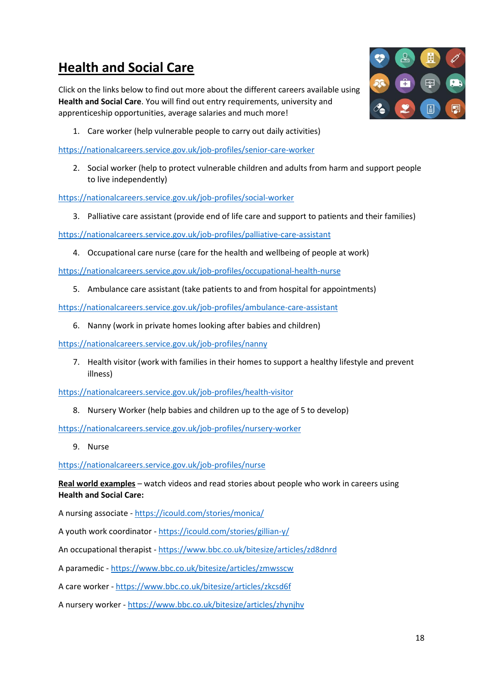# <span id="page-17-0"></span>**Health and Social Care**

Click on the links below to find out more about the different careers available using **Health and Social Care**. You will find out entry requirements, university and apprenticeship opportunities, average salaries and much more!



1. Care worker (help vulnerable people to carry out daily activities)

<https://nationalcareers.service.gov.uk/job-profiles/senior-care-worker>

2. Social worker (help to protect vulnerable children and adults from harm and support people to live independently)

<https://nationalcareers.service.gov.uk/job-profiles/social-worker>

3. Palliative care assistant (provide end of life care and support to patients and their families)

<https://nationalcareers.service.gov.uk/job-profiles/palliative-care-assistant>

4. Occupational care nurse (care for the health and wellbeing of people at work)

<https://nationalcareers.service.gov.uk/job-profiles/occupational-health-nurse>

5. Ambulance care assistant (take patients to and from hospital for appointments)

<https://nationalcareers.service.gov.uk/job-profiles/ambulance-care-assistant>

6. Nanny (work in private homes looking after babies and children)

<https://nationalcareers.service.gov.uk/job-profiles/nanny>

7. Health visitor (work with families in their homes to support a healthy lifestyle and prevent illness)

<https://nationalcareers.service.gov.uk/job-profiles/health-visitor>

8. Nursery Worker (help babies and children up to the age of 5 to develop)

<https://nationalcareers.service.gov.uk/job-profiles/nursery-worker>

9. Nurse

<https://nationalcareers.service.gov.uk/job-profiles/nurse>

**Real world examples** – watch videos and read stories about people who work in careers using **Health and Social Care:**

A nursing associate - <https://icould.com/stories/monica/>

A youth work coordinator - <https://icould.com/stories/gillian-y/>

An occupational therapist - <https://www.bbc.co.uk/bitesize/articles/zd8dnrd>

A paramedic - <https://www.bbc.co.uk/bitesize/articles/zmwsscw>

A care worker - <https://www.bbc.co.uk/bitesize/articles/zkcsd6f>

A nursery worker - <https://www.bbc.co.uk/bitesize/articles/zhynjhv>